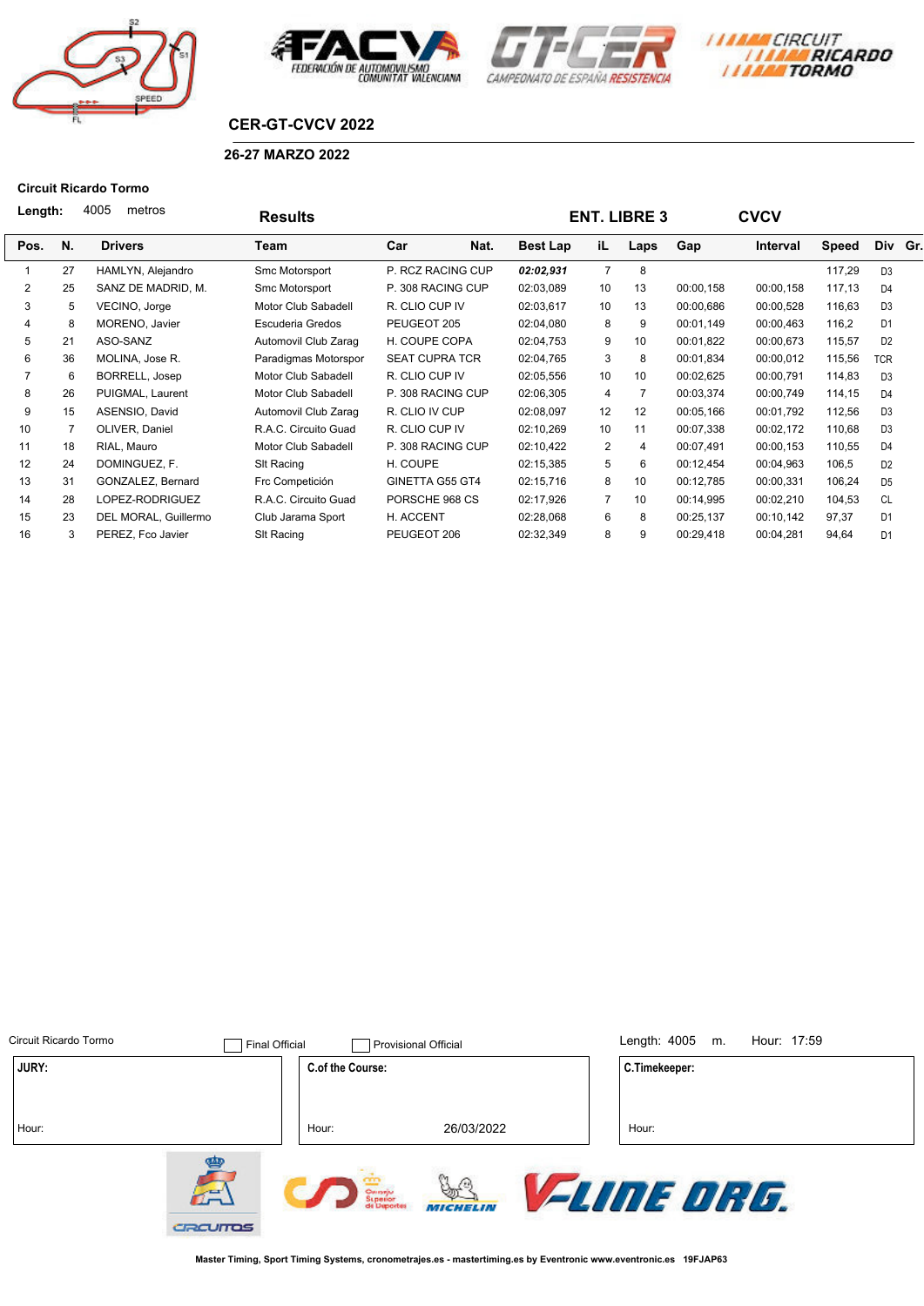







## **CER-GT-CVCV 2022**

### **26-27 MARZO 2022**

#### **Circuit Ricardo Tormo**

| 4005<br>Length: |    | metros               | <b>Results</b>       |                       |                 | <b>ENT. LIBRE 3</b> | <b>CVCV</b>    |           |           |              |                |  |
|-----------------|----|----------------------|----------------------|-----------------------|-----------------|---------------------|----------------|-----------|-----------|--------------|----------------|--|
| Pos.            | N. | <b>Drivers</b>       | Team                 | Car<br>Nat.           | <b>Best Lap</b> | iL.                 | Laps           | Gap       | Interval  | <b>Speed</b> | Div Gr.        |  |
|                 | 27 | HAMLYN, Alejandro    | Smc Motorsport       | P. RCZ RACING CUP     | 02:02,931       | $\overline{7}$      | 8              |           |           | 117,29       | D <sub>3</sub> |  |
| 2               | 25 | SANZ DE MADRID, M.   | Smc Motorsport       | P. 308 RACING CUP     |                 | 10                  | 13             | 00:00,158 | 00:00,158 | 117,13       | D <sub>4</sub> |  |
| 3               | 5  | VECINO, Jorge        | Motor Club Sabadell  | R. CLIO CUP IV        | 02:03,617       | 10                  | 13             | 00:00,686 | 00:00,528 | 116,63       | D <sub>3</sub> |  |
| 4               | 8  | MORENO, Javier       | Escuderia Gredos     | PEUGEOT 205           | 02:04,080       | 8                   | 9              | 00:01,149 | 00:00,463 | 116,2        | D <sub>1</sub> |  |
| 5               | 21 | ASO-SANZ             | Automovil Club Zarag | H. COUPE COPA         | 02:04,753       | 9                   | 10             | 00:01.822 | 00:00.673 | 115,57       | D <sub>2</sub> |  |
| 6               | 36 | MOLINA, Jose R.      | Paradigmas Motorspor | <b>SEAT CUPRA TCR</b> | 02:04,765       | 3                   | 8              | 00:01,834 | 00:00,012 | 115,56       | <b>TCR</b>     |  |
|                 | 6  | BORRELL, Josep       | Motor Club Sabadell  | R. CLIO CUP IV        | 02:05,556       | 10 <sup>1</sup>     | 10             | 00:02,625 | 00:00,791 | 114,83       | D <sub>3</sub> |  |
| 8               | 26 | PUIGMAL, Laurent     | Motor Club Sabadell  | P. 308 RACING CUP     | 02:06,305       | $\overline{4}$      | $\overline{7}$ | 00:03,374 | 00:00,749 | 114,15       | D <sub>4</sub> |  |
| 9               | 15 | ASENSIO, David       | Automovil Club Zarag | R. CLIO IV CUP        | 02:08,097       | 12                  | 12             | 00:05,166 | 00:01,792 | 112,56       | D <sub>3</sub> |  |
| 10              |    | OLIVER, Daniel       | R.A.C. Circuito Guad | R. CLIO CUP IV        | 02:10,269       | 10 <sup>1</sup>     | 11             | 00:07,338 | 00:02,172 | 110,68       | D <sub>3</sub> |  |
| 11              | 18 | RIAL, Mauro          | Motor Club Sabadell  | P. 308 RACING CUP     | 02:10,422       | 2                   | 4              | 00:07,491 | 00:00,153 | 110,55       | D <sub>4</sub> |  |
| 12              | 24 | DOMINGUEZ, F.        | SIt Racing           | H. COUPE              | 02:15,385       | 5                   | 6              | 00:12,454 | 00:04,963 | 106,5        | D <sub>2</sub> |  |
| 13              | 31 | GONZALEZ, Bernard    | Frc Competición      | GINETTA G55 GT4       | 02:15,716       | 8                   | 10             | 00:12,785 | 00:00,331 | 106,24       | D <sub>5</sub> |  |
| 14              | 28 | LOPEZ-RODRIGUEZ      | R.A.C. Circuito Guad | PORSCHE 968 CS        | 02:17,926       | $\overline{7}$      | 10             | 00:14,995 | 00:02,210 | 104,53       | <b>CL</b>      |  |
| 15              | 23 | DEL MORAL, Guillermo | Club Jarama Sport    | H. ACCENT             | 02:28,068       | 6                   | 8              | 00:25,137 | 00:10,142 | 97,37        | D <sub>1</sub> |  |
| 16              | 3  | PEREZ, Fco Javier    | SIt Racing           | PEUGEOT 206           | 02:32,349       | 8                   | 9              | 00:29,418 | 00:04,281 | 94,64        | D <sub>1</sub> |  |
|                 |    |                      |                      |                       |                 |                     |                |           |           |              |                |  |

| Circuit Ricardo Tormo | <b>Final Official</b>          |                                 | <b>Provisional Official</b>            | Length: 4005<br>Hour: 17:59<br>m. |
|-----------------------|--------------------------------|---------------------------------|----------------------------------------|-----------------------------------|
| JURY:                 |                                | C.of the Course:                |                                        | C.Timekeeper:                     |
| Hour:                 |                                | Hour:                           | 26/03/2022                             | Hour:                             |
|                       | €<br>$\mathcal{L}$<br>CRCUITOS | Omenju<br>Superior<br>de Deport | ⋒<br>$\mathbb{R}^n$<br><b>MICHELIN</b> | <b><i>FLINE DRG.</i></b>          |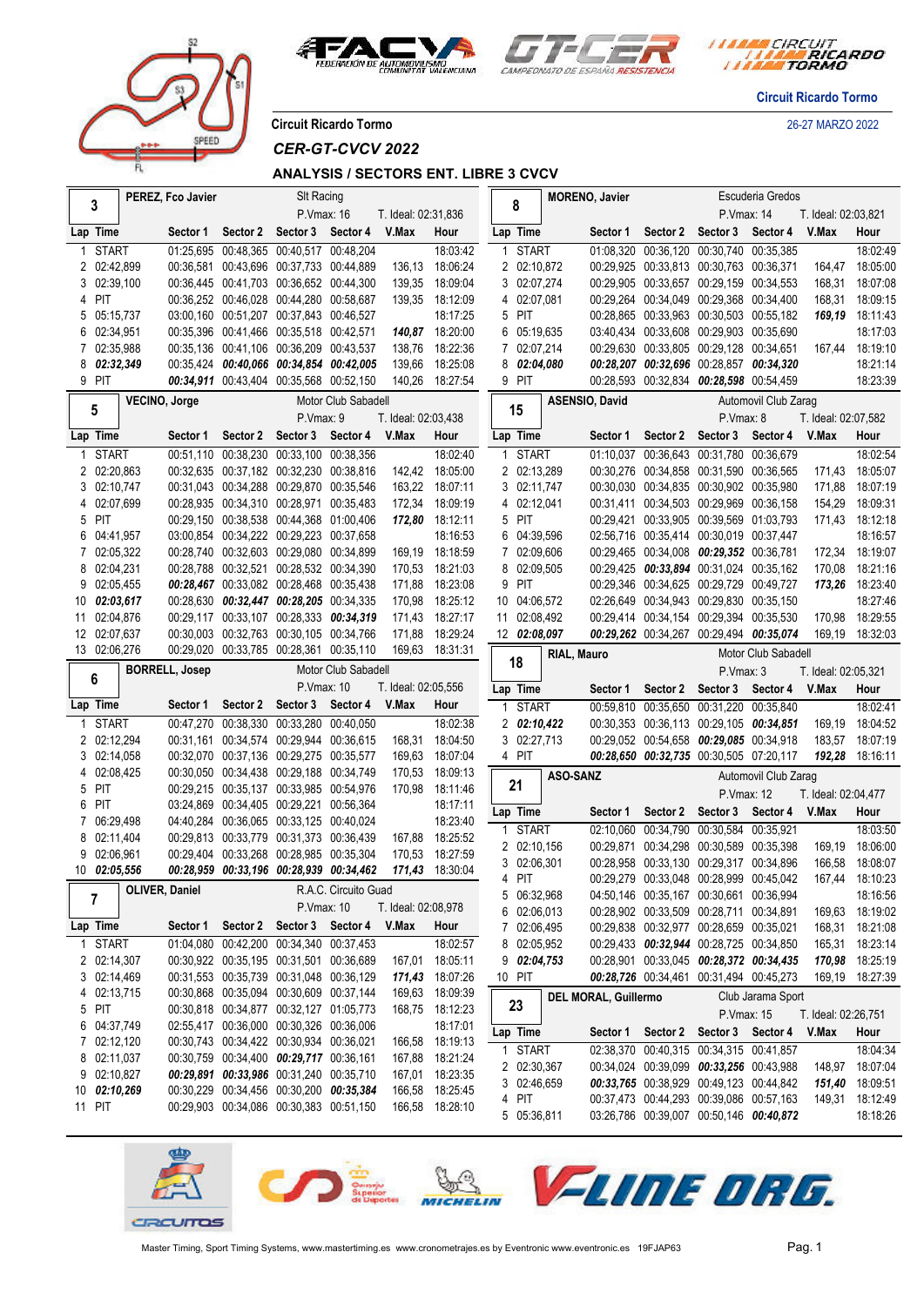



*I TARA CIRCUIT<br>I TARA RICARDO* 

**Circuit Ricardo Tormo**

**Circuit Ricardo Tormo** 26-27 MARZO 2022

prer

*CER-GT-CVCV 2022*

### **ANALYSIS / SECTORS ENT. LIBRE 3 CVCV**

|   | 3                      | PEREZ, Fco Javier     |                                                                                    | SIt Racing        |                      |                     |                             | 8                          | <b>MORENO, Javier</b>       |                                                                                    |                   | Escuderia Gredos                        |                              |                             |
|---|------------------------|-----------------------|------------------------------------------------------------------------------------|-------------------|----------------------|---------------------|-----------------------------|----------------------------|-----------------------------|------------------------------------------------------------------------------------|-------------------|-----------------------------------------|------------------------------|-----------------------------|
|   |                        |                       |                                                                                    | P.Vmax: 16        |                      | T. Ideal: 02:31,836 |                             |                            |                             |                                                                                    | P.Vmax: 14        |                                         | T. Ideal: 02:03,821          |                             |
|   | Lap Time               | Sector 1              | Sector 2                                                                           | Sector 3 Sector 4 |                      | V.Max               | Hour                        | Lap Time                   | Sector 1                    | Sector 2                                                                           | Sector 3          | Sector 4                                | V.Max                        | Hour                        |
|   | <b>START</b>           |                       | 01:25,695 00:48,365 00:40,517 00:48,204                                            |                   |                      |                     | 18:03:42                    | <b>START</b><br>1          |                             | 01:08,320 00:36,120 00:30,740 00:35,385                                            |                   |                                         |                              | 18:02:49                    |
|   | 2 02:42,899            |                       | 00:36,581 00:43,696 00:37,733 00:44,889                                            |                   |                      | 136,13              | 18:06:24                    | 2 02:10,872                |                             | 00:29.925 00:33.813 00:30.763 00:36.371                                            |                   |                                         | 164,47                       | 18:05:00                    |
|   | 3 02:39,100            |                       | 00:36.445 00:41.703 00:36.652 00:44.300                                            |                   |                      | 139.35              | 18:09:04                    | 3 02:07,274                |                             | 00:29,905 00:33,657 00:29,159 00:34,553                                            |                   |                                         | 168,31                       | 18:07:08                    |
|   | 4 PIT                  |                       | 00:36,252 00:46,028 00:44,280 00:58,687                                            |                   |                      |                     | 139,35 18:12:09             | 4 02:07,081                |                             | 00:29.264 00:34.049 00:29.368 00:34.400                                            |                   |                                         | 168,31                       | 18:09:15                    |
| 5 | 05:15,737              |                       | 03:00,160 00:51,207 00:37,843 00:46,527                                            |                   |                      |                     | 18:17:25                    | 5 PIT                      |                             | 00:28,865 00:33,963 00:30,503 00:55,182                                            |                   |                                         | 169,19                       | 18:11:43                    |
| 6 | 02:34,951              |                       | 00:35,396 00:41,466 00:35,518 00:42,571                                            |                   |                      |                     | 140,87 18:20:00             | 6 05:19,635                |                             | 03:40,434 00:33,608 00:29,903 00:35,690                                            |                   |                                         |                              | 18:17:03                    |
|   | 7 02:35,988            |                       | 00:35,136 00:41,106 00:36,209 00:43,537                                            |                   |                      | 138,76              | 18:22:36                    | 7 02:07,214                |                             | 00:29.630 00:33.805 00:29.128 00:34.651                                            |                   |                                         | 167,44                       | 18:19:10                    |
| 8 | 02:32,349              |                       | 00:35,424 00:40,066 00:34,854 00:42,005                                            |                   |                      | 139,66              | 18:25:08                    | 8 02:04,080                |                             | 00:28,207 00:32,696 00:28,857 00:34,320                                            |                   |                                         |                              | 18:21:14                    |
|   | 9 PIT                  |                       | 00:34,911 00:43,404 00:35,568 00:52,150                                            |                   |                      |                     | 140,26 18:27:54             | 9 PIT                      |                             | 00:28,593 00:32,834 00:28,598 00:54,459                                            |                   |                                         |                              | 18:23:39                    |
|   | 5                      | VECINO, Jorge         |                                                                                    |                   | Motor Club Sabadell  |                     |                             | 15                         | ASENSIO, David              |                                                                                    |                   | Automovil Club Zarag                    |                              |                             |
|   |                        |                       |                                                                                    | P.Vmax: 9         |                      | T. Ideal: 02:03,438 |                             |                            |                             |                                                                                    | P.Vmax: 8         |                                         | T. Ideal: 02:07,582          |                             |
|   | Lap Time               | Sector 1              | Sector 2                                                                           | Sector 3          | Sector 4             | V.Max               | Hour                        | Lap Time                   | Sector 1                    | Sector 2                                                                           | Sector 3          | Sector 4                                | V.Max                        | Hour                        |
| 1 | <b>START</b>           |                       | 00:51,110 00:38,230 00:33,100 00:38,356                                            |                   |                      |                     | 18:02:40                    | <b>START</b><br>1          |                             | 01:10,037 00:36,643 00:31,780 00:36,679                                            |                   |                                         |                              | 18:02:54                    |
|   | 2 02:20,863            |                       | 00:32,635 00:37,182 00:32,230 00:38,816                                            |                   |                      |                     | 142,42 18:05:00             | 2 02:13,289                |                             | 00:30,276 00:34,858 00:31,590 00:36,565                                            |                   |                                         | 171,43                       | 18:05:07                    |
|   | 3 02:10,747            |                       | 00:31,043 00:34,288 00:29,870 00:35,546                                            |                   |                      |                     | 163,22 18:07:11             | 3 02:11,747                |                             | 00:30,030 00:34,835 00:30,902 00:35,980                                            |                   |                                         | 171,88                       | 18:07:19                    |
|   | 4 02:07,699            |                       | 00:28,935 00:34,310 00:28,971 00:35,483                                            |                   |                      | 172,34              | 18:09:19                    | 4 02:12,041                |                             | 00:31,411 00:34,503 00:29,969 00:36,158                                            |                   |                                         | 154,29                       | 18:09:31                    |
| 5 | PIT                    |                       | 00:29.150 00:38.538 00:44.368 01:00.406                                            |                   |                      |                     | 172,80 18:12:11             | 5 PIT                      |                             | 00:29.421 00:33.905 00:39.569 01:03.793                                            |                   |                                         | 171,43                       | 18:12:18                    |
| 6 | 04:41,957<br>02:05,322 |                       | 03:00,854 00:34,222 00:29,223 00:37,658<br>00:28,740 00:32,603 00:29,080 00:34,899 |                   |                      |                     | 18:16:53<br>169,19 18:18:59 | 6 04:39,596<br>7 02:09,606 |                             | 02:56,716 00:35,414 00:30,019 00:37,447<br>00:29,465 00:34,008 00:29,352 00:36,781 |                   |                                         | 172,34                       | 18:16:57<br>18:19:07        |
| 8 | 02:04,231              |                       | 00:28,788 00:32,521 00:28,532 00:34,390                                            |                   |                      |                     | 170,53 18:21:03             | 8 02:09,505                |                             | 00:29,425 00:33,894 00:31,024 00:35,162                                            |                   |                                         | 170,08                       | 18:21:16                    |
| 9 | 02:05,455              |                       | 00:28,467 00:33,082 00:28,468 00:35,438                                            |                   |                      | 171,88              | 18:23:08                    | 9 PIT                      |                             | 00:29,346 00:34,625 00:29,729 00:49,727                                            |                   |                                         | 173,26                       | 18:23:40                    |
|   | 10 02:03,617           |                       | 00:28,630 00:32,447 00:28,205 00:34,335                                            |                   |                      | 170,98              | 18:25:12                    | 10 04:06,572               |                             | 02:26,649 00:34,943 00:29,830 00:35,150                                            |                   |                                         |                              | 18:27:46                    |
|   | 11 02:04,876           |                       | 00:29,117 00:33,107 00:28,333 00:34,319                                            |                   |                      | 171,43              | 18:27:17                    | 11 02:08,492               |                             | 00:29,414 00:34,154 00:29,394 00:35,530                                            |                   |                                         | 170,98                       | 18:29:55                    |
|   | 12 02:07,637           |                       | 00:30.003 00:32.763 00:30.105 00:34.766                                            |                   |                      | 171,88              | 18:29:24                    | 12 02:08.097               |                             | 00:29,262 00:34,267 00:29,494 00:35,074                                            |                   |                                         | 169,19                       | 18:32:03                    |
|   | 13 02:06,276           |                       | 00:29,020 00:33,785 00:28,361 00:35,110                                            |                   |                      |                     | 169,63 18:31:31             |                            | RIAL, Mauro                 |                                                                                    |                   | Motor Club Sabadell                     |                              |                             |
|   |                        |                       |                                                                                    |                   |                      |                     |                             |                            |                             |                                                                                    |                   |                                         |                              |                             |
|   |                        |                       |                                                                                    |                   |                      |                     |                             | 18                         |                             |                                                                                    |                   |                                         |                              |                             |
|   | 6                      | <b>BORRELL, Josep</b> |                                                                                    | P.Vmax: 10        | Motor Club Sabadell  | T. Ideal: 02:05,556 |                             |                            |                             |                                                                                    | P.Vmax: 3         |                                         | T. Ideal: 02:05,321<br>V.Max |                             |
|   | Lap Time               | Sector 1              | Sector 2                                                                           | Sector 3          | Sector 4             | V.Max               | Hour                        | Lap Time                   | Sector 1                    | Sector 2                                                                           | Sector 3          | Sector 4                                |                              | Hour                        |
|   | 1 START                |                       |                                                                                    |                   |                      |                     |                             | <b>START</b>               |                             | 00:59,810 00:35,650 00:31,220 00:35,840                                            |                   |                                         |                              | 18:02:41<br>18:04:52        |
|   | 2 02:12,294            |                       | 00:47,270 00:38,330 00:33,280 00:40,050<br>00:31,161 00:34,574 00:29,944 00:36,615 |                   |                      | 168,31              | 18:02:38<br>18:04:50        | 2 02:10,422<br>3 02:27,713 |                             | 00:29,052 00:54,658 00:29,085 00:34,918                                            |                   | 00:30,353 00:36,113 00:29,105 00:34,851 | 169,19<br>183,57             | 18:07:19                    |
|   | 3 02:14,058            |                       | 00:32,070 00:37,136 00:29,275 00:35,577                                            |                   |                      | 169,63              | 18:07:04                    | 4 PIT                      |                             | 00:28,650 00:32,735 00:30,505 07:20,117                                            |                   |                                         |                              | 192,28 18:16:11             |
|   | 4 02:08,425            |                       | 00:30,050 00:34,438 00:29,188 00:34,749                                            |                   |                      | 170,53              | 18:09:13                    |                            |                             |                                                                                    |                   |                                         |                              |                             |
| 5 | PIT                    |                       | 00:29,215 00:35,137 00:33,985 00:54,976                                            |                   |                      | 170.98              | 18:11:46                    | 21                         | ASO-SANZ                    |                                                                                    |                   | Automovil Club Zarag                    |                              |                             |
| 6 | PIT                    |                       | 03:24.869 00:34.405 00:29.221 00:56.364                                            |                   |                      |                     | 18:17:11                    |                            |                             |                                                                                    | P.Vmax: 12        |                                         | T. Ideal: 02:04,477          |                             |
|   | 7 06:29,498            |                       | 04:40.284 00:36.065 00:33.125 00:40.024                                            |                   |                      |                     | 18:23:40                    | Lap Time                   | Sector 1                    | Sector 2 Sector 3                                                                  |                   | Sector 4                                | V.Max                        | Hour                        |
| 8 | 02:11,404              |                       | 00:29,813 00:33,779 00:31,373 00:36,439                                            |                   |                      |                     | 167,88 18:25:52             | <b>START</b><br>1          |                             | 02:10,060 00:34,790 00:30,584 00:35,921                                            |                   |                                         |                              | 18:03:50                    |
| 9 | 02:06,961              |                       | 00:29,404 00:33,268 00:28,985 00:35,304                                            |                   |                      | 170,53              | 18:27:59                    | 2 02:10,156                |                             | 00:29.871 00:34.298 00:30.589 00:35.398                                            |                   |                                         | 169,19                       | 18:06:00                    |
|   | 10 02:05,556           |                       | 00:28,959 00:33,196 00:28,939 00:34,462                                            |                   |                      |                     | 171,43 18:30:04             | 3 02:06,301                |                             | 00:28,958 00:33,130 00:29,317 00:34,896                                            |                   |                                         | 166,58                       | 18:08:07                    |
|   |                        | <b>OLIVER, Daniel</b> |                                                                                    |                   | R.A.C. Circuito Guad |                     |                             | 4 PIT                      |                             | 00:29,279 00:33,048 00:28,999 00:45,042                                            |                   |                                         |                              | 167,44 18:10:23             |
|   | 7                      |                       |                                                                                    | P.Vmax: 10        |                      | T. Ideal: 02:08,978 |                             | 5 06:32,968<br>6           |                             | 04:50,146 00:35,167 00:30,661 00:36,994<br>00:28,902 00:33,509 00:28,711 00:34,891 |                   |                                         |                              | 18:16:56<br>169,63 18:19:02 |
|   | Lap Time               | Sector 1              | Sector 2                                                                           | Sector 3 Sector 4 |                      | V.Max               | Hour                        | 02:06,013<br>7 02:06,495   |                             | 00:29,838 00:32,977 00:28,659 00:35,021                                            |                   |                                         |                              | 168,31 18:21:08             |
|   | 1 START                |                       | 01:04.080 00:42.200 00:34.340 00:37.453                                            |                   |                      |                     | 18:02:57                    | 8 02:05,952                |                             | 00:29,433 00:32,944 00:28,725 00:34,850                                            |                   |                                         |                              | 165,31 18:23:14             |
|   | 2 02:14,307            |                       | 00:30,922 00:35,195 00:31,501 00:36,689                                            |                   |                      |                     | 167,01 18:05:11             | 902:04,753                 |                             | 00:28,901 00:33,045 00:28,372 00:34,435                                            |                   |                                         |                              | 170,98 18:25:19             |
|   | 3 02:14,469            |                       | 00:31,553 00:35,739 00:31,048 00:36,129                                            |                   |                      |                     | 171,43 18:07:26             | 10 PIT                     |                             | 00:28,726 00:34,461 00:31,494 00:45,273                                            |                   |                                         |                              | 169,19 18:27:39             |
|   | 4 02:13,715            |                       | 00:30.868 00:35.094 00:30.609 00:37.144                                            |                   |                      |                     | 169,63 18:09:39             |                            | <b>DEL MORAL, Guillermo</b> |                                                                                    |                   | Club Jarama Sport                       |                              |                             |
|   | 5 PIT                  |                       | 00:30,818 00:34,877 00:32,127 01:05,773                                            |                   |                      |                     | 168,75 18:12:23             | 23                         |                             |                                                                                    | P.Vmax: 15        |                                         | T. Ideal: 02:26,751          |                             |
| 6 | 04:37,749              |                       | 02:55,417 00:36,000 00:30,326 00:36,006                                            |                   |                      |                     | 18:17:01                    | Lap Time                   | Sector 1                    | Sector 2                                                                           | Sector 3 Sector 4 |                                         | V.Max                        | Hour                        |
| 7 | 02:12,120              |                       | 00:30,743 00:34,422 00:30,934 00:36,021                                            |                   |                      |                     | 166,58 18:19:13             |                            |                             | 02:38,370 00:40,315 00:34,315 00:41,857                                            |                   |                                         |                              |                             |
| 8 | 02:11,037              |                       | 00:30,759 00:34,400 00:29,717 00:36,161                                            |                   |                      |                     | 167,88 18:21:24             | 1 START<br>2 02:30,367     |                             | 00:34,024 00:39,099 00:33,256 00:43,988                                            |                   |                                         |                              | 18:04:34<br>148,97 18:07:04 |
| 9 | 02:10,827              |                       | 00:29,891 00:33,986 00:31,240 00:35,710                                            |                   |                      |                     | 167,01 18:23:35             | 3 02:46,659                |                             | 00:33,765 00:38,929 00:49,123 00:44,842                                            |                   |                                         |                              | 151,40 18:09:51             |
|   | 10 02:10,269           |                       | 00:30,229 00:34,456 00:30,200 00:35,384                                            |                   |                      |                     | 166,58 18:25:45             | 4 PIT                      |                             | 00:37,473 00:44,293 00:39,086 00:57,163                                            |                   |                                         |                              | 149,31 18:12:49             |
|   | 11 PIT                 |                       | 00:29,903 00:34,086 00:30,383 00:51,150                                            |                   |                      |                     | 166,58 18:28:10             | 5 05:36,811                |                             | 03:26,786 00:39,007 00:50,146 00:40,872                                            |                   |                                         |                              | 18:18:26                    |

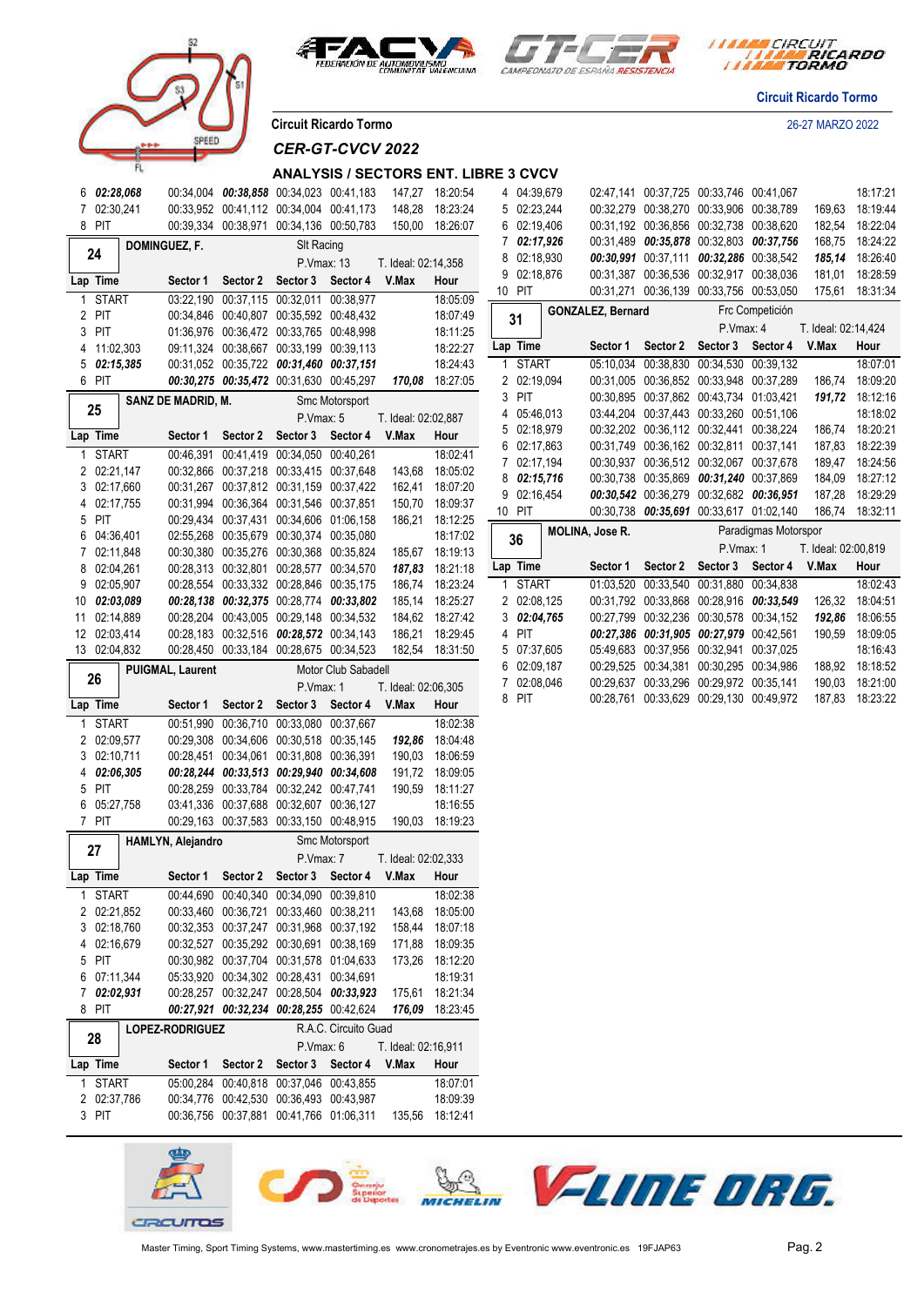





*ITTRA CIRCUIT*<br> *ITTRE RICARDO* 

**Circuit Ricardo Tormo**

**Circuit Ricardo Tormo** 26-27 MARZO 2022

*CER-GT-CVCV 2022*

#### **ANALYSIS / SECTORS ENT. LIBRE 3 CVCV**

| 6              |                  | 02:28,068 | 00:34,004              | 00:38,858 | 00:34,023               | 00:41,183            | 147,27              | 18:20:54             |
|----------------|------------------|-----------|------------------------|-----------|-------------------------|----------------------|---------------------|----------------------|
| 7              | 02:30,241        |           | 00:33,952              | 00:41,112 | 00:34,004               | 00:41,173            | 148,28              | 18:23:24             |
| 8              | PIT              |           | 00:39,334              | 00:38,971 | 00:34,136               | 00:50,783            | 150,00              | 18:26:07             |
|                |                  |           | DOMINGUEZ, F.          |           | SIt Racing              |                      |                     |                      |
|                | 24               |           |                        |           | P.Vmax: 13              |                      | T. Ideal: 02:14,358 |                      |
|                | Lap Time         |           | Sector 1               | Sector 2  | Sector 3                | Sector 4             | V.Max               |                      |
|                |                  |           |                        |           |                         |                      |                     | Hour                 |
| 1              | <b>START</b>     |           | 03:22,190              | 00:37,115 | 00:32,011               | 00:38,977            |                     | 18:05:09             |
| 2              | PIT              |           | 00:34,846              | 00:40,807 | 00:35,592               | 00:48,432            |                     | 18:07:49             |
| 3              | PIT              |           | 01:36,976              | 00:36,472 | 00:33,765               | 00:48,998            |                     | 18:11:25             |
| 4              | 11:02,303        |           | 09:11,324              | 00:38,667 | 00:33,199               | 00:39,113            |                     | 18:22:27             |
| 5              | 02:15,385        |           | 00:31,052              | 00:35,722 | 00:31,460               | 00:37,151            |                     | 18:24:43             |
| 6              | PIT              |           | 00:30,275              | 00:35,472 | 00:31,630               | 00:45,297            | 170,08              | 18:27:05             |
|                |                  |           | SANZ DE MADRID, M.     |           |                         | Smc Motorsport       |                     |                      |
|                | 25               |           |                        |           | P.Vmax: 5               |                      | T. Ideal: 02:02,887 |                      |
|                | Lap Time         |           | Sector 1               | Sector 2  | Sector 3                | Sector 4             | V.Max               | Hour                 |
| 1              | <b>START</b>     |           | 00:46,391              | 00:41,419 | $\overline{00}$ :34,050 | 00:40,261            |                     | 18:02:41             |
| $\overline{2}$ | 02:21,147        |           | 00:32,866              | 00:37,218 | 00:33,415               | 00:37,648            | 143,68              | 18:05:02             |
| 3              | 02:17,660        |           | 00:31,267              | 00:37,812 | 00:31,159               | 00:37,422            | 162,41              | 18:07:20             |
| 4              | 02:17,755        |           | 00:31,994              | 00:36,364 | 00:31,546               | 00:37,851            | 150,70              | 18:09:37             |
| 5              | PIT              |           | 00:29,434              | 00:37,431 | 00:34,606               | 01:06,158            | 186,21              | 18:12:25             |
| 6              | 04:36,401        |           | 02:55,268              | 00:35,679 | 00:30,374               | 00:35,080            |                     | 18:17:02             |
| 7              | 02:11,848        |           | 00:30,380              | 00:35,276 | 00:30,368               | 00:35,824            | 185,67              | 18:19:13             |
| 8              | 02:04,261        |           | 00:28,313              | 00:32,801 | 00:28,577               | 00:34,570            | 187,83              | 18:21:18             |
|                |                  |           | 00:28,554              |           |                         |                      |                     |                      |
| 9              | 02:05,907        |           |                        | 00:33,332 | 00:28,846               | 00:35,175            | 186,74              | 18:23:24             |
| 10             | 02:03,089        |           | 00:28,138              | 00:32,375 | 00:28,774               | 00:33,802            | 185,14              | 18:25:27             |
| 11             | 02:14,889        |           | 00:28,204              | 00:43,005 | 00:29,148               | 00:34,532            | 184,62              | 18:27:42             |
| 12             | 02:03,414        |           | 00:28,183              | 00:32,516 | 00:28,572               | 00:34,143            | 186,21              | 18:29:45             |
| 13             | 02:04,832        |           | 00:28,450              | 00:33,184 | 00:28,675               | 00:34,523            | 182,54              | 18:31:50             |
|                |                  |           | PUIGMAL, Laurent       |           |                         | Motor Club Sabadell  |                     |                      |
|                |                  |           |                        |           |                         |                      |                     |                      |
|                | 26               |           |                        |           | P.Vmax: 1               |                      | T. Ideal: 02:06,305 |                      |
|                | Lap Time         |           | Sector 1               | Sector 2  | Sector 3                | Sector 4             | V.Max               | Hour                 |
| 1              | <b>START</b>     |           | 00:51,990              | 00:36,710 | 00:33,080               | 00:37,667            |                     | 18:02:38             |
| 2              | 02:09,577        |           | 00:29,308              | 00:34,606 | 00:30,518               | 00:35,145            | 192,86              | 18:04:48             |
| 3              | 02:10,711        |           | 00:28,451              | 00:34,061 | 00:31,808               | 00:36,391            | 190,03              | 18:06:59             |
| 4              | 02:06,305        |           |                        | 00:33,513 | 00:29,940               | 00:34,608            | 191,72              |                      |
| 5              | PIT              |           | 00:28,244<br>00:28,259 | 00:33,784 | 00:32,242               | 00:47,741            | 190,59              | 18:09:05<br>18:11:27 |
| 6              |                  |           |                        | 00:37,688 | 00:32,607               | 00:36,127            |                     | 18:16:55             |
| 7              | 05:27,758<br>PIT |           | 03:41,336<br>00:29,163 | 00:37,583 | 00:33,150               | 00:48,915            | 190,03              | 18:19:23             |
|                |                  |           |                        |           |                         |                      |                     |                      |
|                | 27               |           | HAMLYN, Alejandro      |           |                         | Smc Motorsport       |                     |                      |
|                |                  |           |                        |           | P.Vmax: 7               |                      | T. Ideal: 02:02,333 |                      |
|                | Lap Time         |           | Sector 1               | Sector 2  | Sector 3                | Sector 4             | V.Max               | Hour                 |
| 1              | START            |           | 00:44,690              | 00:40,340 | 00:34,090               | 00:39,810            |                     | 18:02:38             |
| 2              | 02:21,852        |           | 00:33,460              | 00:36,721 | 00:33,460               | 00:38,211            | 143,68              | 18:05:00             |
| 3              | 02:18,760        |           | 00:32,353              | 00:37,247 | 00:31,968               | 00:37,192            | 158,44              | 18:07:18             |
| 4              | 02:16,679        |           | 00:32,527              | 00:35,292 | 00:30,691               | 00:38,169            | 171,88              | 18:09:35             |
| 5              | PIT              |           | 00:30,982              | 00:37,704 | 00:31,578               | 01:04,633            | 173,26              | 18:12:20             |
| 6              | 07:11,344        |           | 05:33,920              | 00:34,302 | 00:28,431               | 00:34,691            |                     | 18:19:31             |
| 7              | 02:02,931        |           | 00:28,257              | 00:32,247 | 00:28,504               | 00:33,923            | 175,61              | 18:21:34             |
| 8              | PIT              |           | 00:27,921              | 00:32,234 | 00:28,255               | 00:42,624            | 176,09              | 18:23:45             |
|                |                  |           | LOPEZ-RODRIGUEZ        |           |                         | R.A.C. Circuito Guad |                     |                      |
|                | 28               |           |                        |           | P.Vmax: 6               |                      | T. Ideal: 02:16,911 |                      |
|                | Lap Time         |           | Sector 1               | Sector 2  | Sector 3                | Sector 4             | V.Max               | Hour                 |
| 1              | <b>START</b>     |           | 05:00,284              | 00:40,818 | 00:37,046               | 00:43,855            |                     | 18:07:01             |
| 2              |                  |           | 00:34,776              | 00:42,530 | 00:36,493               | 00:43,987            |                     |                      |
| 3              | 02:37,786<br>PIT |           | 00:36,756              | 00:37,881 | 00:41,766               | 01:06,311            | 135,56              | 18:09:39<br>18:12:41 |

| 5  | 02:23,244    |  | 00:32,279                | 00:38,270 | 00:33,906 | 00:38,789            | 169,63              | 18:19:44 |  |
|----|--------------|--|--------------------------|-----------|-----------|----------------------|---------------------|----------|--|
| 6  | 02:19,406    |  | 00:31,192                | 00:36,856 | 00:32,738 | 00:38,620            | 182,54              | 18:22:04 |  |
| 7  | 02:17,926    |  | 00:31,489                | 00:35,878 | 00:32,803 | 00:37,756            | 168,75              | 18:24:22 |  |
| 8  | 02:18,930    |  | 00:30,991                | 00:37,111 | 00:32,286 | 00:38,542            | 185,14              | 18:26:40 |  |
| 9  | 02:18,876    |  | 00:31,387                | 00:36,536 | 00:32,917 | 00:38,036            | 181,01              | 18:28:59 |  |
| 10 | PIT          |  | 00:31,271                | 00:36,139 | 00:33,756 | 00:53,050            | 175,61              | 18:31:34 |  |
|    |              |  | <b>GONZALEZ, Bernard</b> |           |           | Frc Competición      |                     |          |  |
|    | 31           |  |                          |           | P.Vmax: 4 |                      | T. Ideal: 02:14,424 |          |  |
|    | Lap Time     |  | Sector 1                 | Sector 2  | Sector 3  | Sector 4             | V.Max               | Hour     |  |
| 1  | <b>START</b> |  | 05:10.034                | 00:38.830 | 00:34.530 | 00:39.132            |                     | 18:07:01 |  |
| 2  | 02:19,094    |  | 00:31.005                | 00:36.852 | 00:33.948 | 00:37.289            | 186,74              | 18:09:20 |  |
| 3  | PIT          |  | 00:30,895                | 00:37,862 | 00:43.734 | 01:03.421            | 191,72              | 18:12:16 |  |
| 4  | 05:46,013    |  | 03:44,204                | 00:37.443 | 00:33.260 | 00:51,106            |                     | 18:18:02 |  |
| 5  | 02:18.979    |  | 00:32,202                | 00:36,112 | 00:32.441 | 00:38.224            | 186,74              | 18:20:21 |  |
| 6  | 02:17,863    |  | 00:31.749                | 00:36.162 | 00:32.811 | 00:37,141            | 187.83              | 18:22:39 |  |
| 7  | 02:17,194    |  | 00:30,937                | 00:36.512 | 00:32,067 | 00:37.678            | 189,47              | 18:24:56 |  |
| 8  | 02:15,716    |  | 00:30,738                | 00:35,869 | 00:31,240 | 00:37,869            | 184,09              | 18:27:12 |  |
| 9  | 02:16,454    |  | 00:30,542                | 00:36,279 | 00:32.682 | 00:36.951            | 187,28              | 18:29:29 |  |
| 10 | PIT          |  | 00:30,738                | 00:35,691 | 00:33,617 | 01:02.140            | 186,74              | 18:32:11 |  |
|    | 36           |  | <b>MOLINA, Jose R.</b>   |           |           | Paradigmas Motorspor |                     |          |  |
|    |              |  |                          |           | P.Vmax: 1 |                      | T. Ideal: 02:00,819 |          |  |
|    | Lap Time     |  | Sector 1                 | Sector 2  | Sector 3  | Sector 4             | V.Max               | Hour     |  |
| 1  | <b>START</b> |  | 01:03,520                | 00:33.540 | 00:31.880 | 00:34.838            |                     | 18:02:43 |  |
| 2  | 02:08,125    |  | 00:31,792                | 00:33,868 | 00:28,916 | 00:33.549            | 126,32              | 18:04:51 |  |
| 3  | 02:04.765    |  | 00:27,799                | 00:32,236 | 00:30,578 | 00:34,152            | 192,86              | 18:06:55 |  |
| 4  | PIT          |  | 00:27,386                | 00:31,905 | 00:27,979 | 00:42,561            | 190,59              | 18:09:05 |  |
| 5  | 07:37,605    |  | 05:49,683                | 00:37,956 | 00:32,941 | 00:37,025            |                     | 18:16:43 |  |
| 6  | 02:09.187    |  | 00:29,525                | 00:34.381 | 00:30.295 | 00:34.986            | 188,92              | 18:18:52 |  |
| 7  | 02:08.046    |  | 00:29.637                | 00:33.296 | 00:29.972 | 00:35,141            | 190,03              | 18:21:00 |  |

PIT 00:28,761 00:33,629 00:29,130 00:49,972 187,83 18:23:22

04:39,679 02:47,141 00:37,725 00:33,746 00:41,067 18:17:21

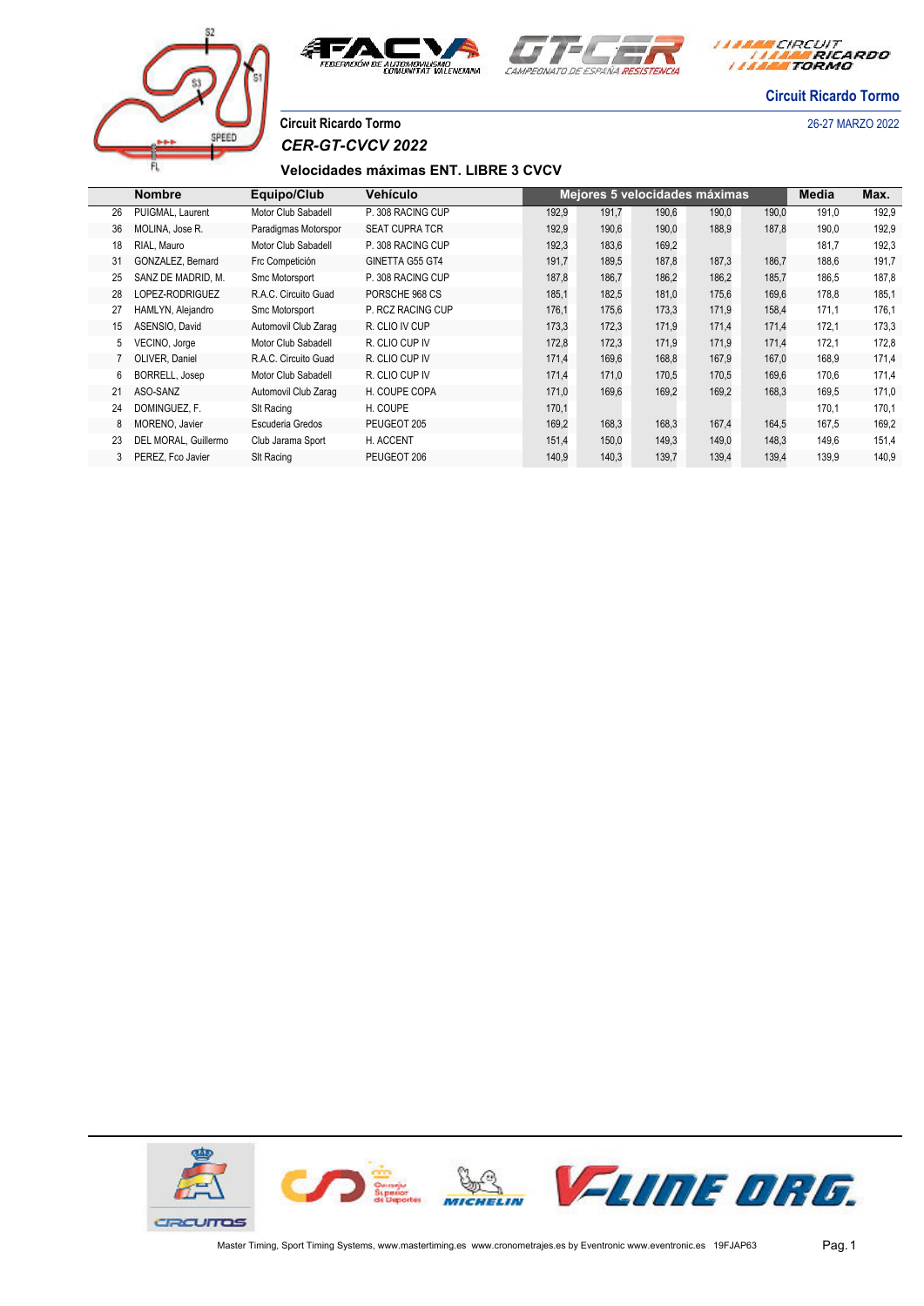





**Circuit Ricardo Tormo**

# SPEET

**Circuit Ricardo Tormo** 26-27 MARZO 2022 *CER-GT-CVCV 2022*

### **Velocidades máximas ENT. LIBRE 3 CVCV**

|    | <b>Nombre</b>        | Equipo/Club          | <b>Vehículo</b>       |       |       | Mejores 5 velocidades máximas |       |       | Media | Max.  |
|----|----------------------|----------------------|-----------------------|-------|-------|-------------------------------|-------|-------|-------|-------|
| 26 | PUIGMAL, Laurent     | Motor Club Sabadell  | P. 308 RACING CUP     | 192,9 | 191,7 | 190,6                         | 190,0 | 190,0 | 191,0 | 192,9 |
| 36 | MOLINA, Jose R.      | Paradigmas Motorspor | <b>SEAT CUPRA TCR</b> | 192,9 | 190,6 | 190,0                         | 188,9 | 187,8 | 190,0 | 192,9 |
| 18 | RIAL. Mauro          | Motor Club Sabadell  | P. 308 RACING CUP     | 192,3 | 183,6 | 169,2                         |       |       | 181.7 | 192,3 |
| 31 | GONZALEZ, Bernard    | Frc Competición      | GINETTA G55 GT4       | 191,7 | 189,5 | 187,8                         | 187,3 | 186,7 | 188,6 | 191,7 |
| 25 | SANZ DE MADRID, M.   | Smc Motorsport       | P. 308 RACING CUP     | 187,8 | 186,7 | 186,2                         | 186,2 | 185,7 | 186,5 | 187,8 |
| 28 | LOPEZ-RODRIGUEZ      | R.A.C. Circuito Guad | PORSCHE 968 CS        | 185,1 | 182,5 | 181,0                         | 175,6 | 169,6 | 178,8 | 185,1 |
| 27 | HAMLYN, Alejandro    | Smc Motorsport       | P. RCZ RACING CUP     | 176,1 | 175,6 | 173,3                         | 171,9 | 158,4 | 171,1 | 176,1 |
| 15 | ASENSIO, David       | Automovil Club Zarag | R. CLIO IV CUP        | 173,3 | 172,3 | 171,9                         | 171.4 | 171,4 | 172,1 | 173,3 |
| 5  | VECINO, Jorge        | Motor Club Sabadell  | R. CLIO CUP IV        | 172,8 | 172,3 | 171,9                         | 171,9 | 171,4 | 172,1 | 172,8 |
|    | OLIVER, Daniel       | R.A.C. Circuito Guad | R. CLIO CUP IV        | 171,4 | 169,6 | 168,8                         | 167.9 | 167,0 | 168,9 | 171,4 |
| 6  | BORRELL, Josep       | Motor Club Sabadell  | R. CLIO CUP IV        | 171,4 | 171.0 | 170,5                         | 170,5 | 169,6 | 170.6 | 171,4 |
| 21 | ASO-SANZ             | Automovil Club Zarag | H. COUPE COPA         | 171,0 | 169,6 | 169,2                         | 169,2 | 168,3 | 169,5 | 171,0 |
| 24 | DOMINGUEZ. F.        | SIt Racing           | H. COUPE              | 170,1 |       |                               |       |       | 170.1 | 170,1 |
| 8  | MORENO, Javier       | Escuderia Gredos     | PEUGEOT 205           | 169,2 | 168,3 | 168,3                         | 167,4 | 164,5 | 167,5 | 169,2 |
| 23 | DEL MORAL, Guillermo | Club Jarama Sport    | H. ACCENT             | 151,4 | 150,0 | 149,3                         | 149,0 | 148,3 | 149.6 | 151,4 |
| 3  | PEREZ, Fco Javier    | SIt Racing           | PEUGEOT 206           | 140,9 | 140,3 | 139,7                         | 139,4 | 139,4 | 139,9 | 140,9 |